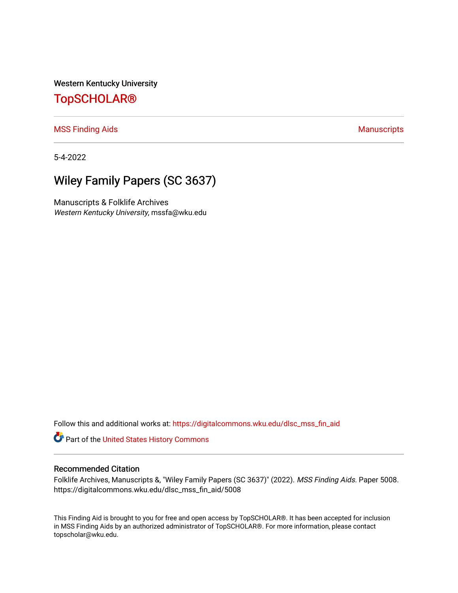Western Kentucky University

## [TopSCHOLAR®](https://digitalcommons.wku.edu/)

[MSS Finding Aids](https://digitalcommons.wku.edu/dlsc_mss_fin_aid) **Manuscripts** [Manuscripts](https://digitalcommons.wku.edu/dlsc_mss) **Manuscripts** 

5-4-2022

# Wiley Family Papers (SC 3637)

Manuscripts & Folklife Archives Western Kentucky University, mssfa@wku.edu

Follow this and additional works at: [https://digitalcommons.wku.edu/dlsc\\_mss\\_fin\\_aid](https://digitalcommons.wku.edu/dlsc_mss_fin_aid?utm_source=digitalcommons.wku.edu%2Fdlsc_mss_fin_aid%2F5008&utm_medium=PDF&utm_campaign=PDFCoverPages) 

Part of the [United States History Commons](http://network.bepress.com/hgg/discipline/495?utm_source=digitalcommons.wku.edu%2Fdlsc_mss_fin_aid%2F5008&utm_medium=PDF&utm_campaign=PDFCoverPages) 

#### Recommended Citation

Folklife Archives, Manuscripts &, "Wiley Family Papers (SC 3637)" (2022). MSS Finding Aids. Paper 5008. https://digitalcommons.wku.edu/dlsc\_mss\_fin\_aid/5008

This Finding Aid is brought to you for free and open access by TopSCHOLAR®. It has been accepted for inclusion in MSS Finding Aids by an authorized administrator of TopSCHOLAR®. For more information, please contact topscholar@wku.edu.